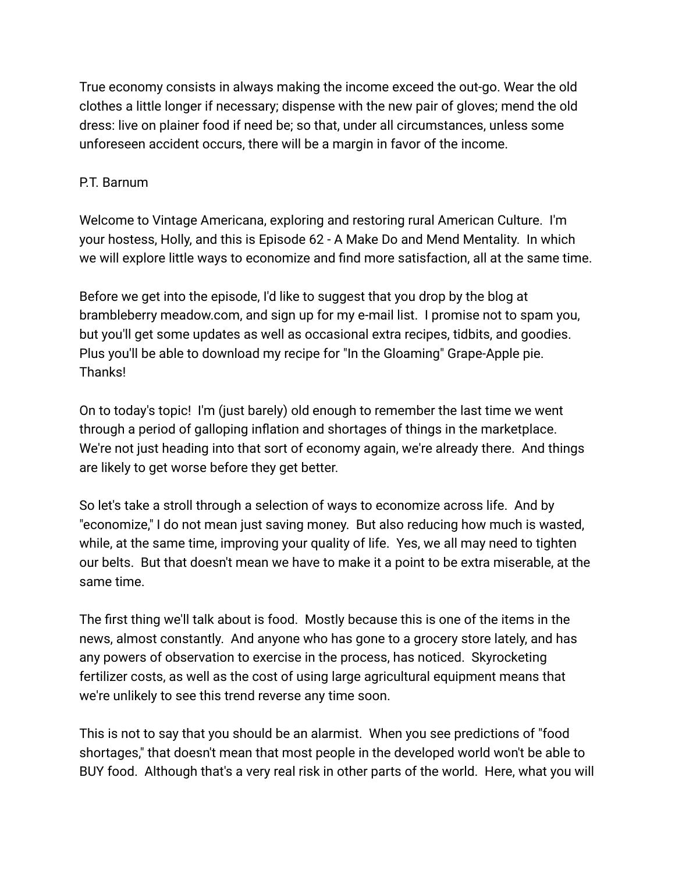True economy consists in always making the income exceed the out-go. Wear the old clothes a little longer if necessary; dispense with the new pair of gloves; mend the old dress: live on plainer food if need be; so that, under all circumstances, unless some unforeseen accident occurs, there will be a margin in favor of the income.

## P.T. Barnum

Welcome to Vintage Americana, exploring and restoring rural American Culture. I'm your hostess, Holly, and this is Episode 62 - A Make Do and Mend Mentality. In which we will explore little ways to economize and find more satisfaction, all at the same time.

Before we get into the episode, I'd like to suggest that you drop by the blog at brambleberry meadow.com, and sign up for my e-mail list. I promise not to spam you, but you'll get some updates as well as occasional extra recipes, tidbits, and goodies. Plus you'll be able to download my recipe for "In the Gloaming" Grape-Apple pie. Thanks!

On to today's topic! I'm (just barely) old enough to remember the last time we went through a period of galloping inflation and shortages of things in the marketplace. We're not just heading into that sort of economy again, we're already there. And things are likely to get worse before they get better.

So let's take a stroll through a selection of ways to economize across life. And by "economize," I do not mean just saving money. But also reducing how much is wasted, while, at the same time, improving your quality of life. Yes, we all may need to tighten our belts. But that doesn't mean we have to make it a point to be extra miserable, at the same time.

The first thing we'll talk about is food. Mostly because this is one of the items in the news, almost constantly. And anyone who has gone to a grocery store lately, and has any powers of observation to exercise in the process, has noticed. Skyrocketing fertilizer costs, as well as the cost of using large agricultural equipment means that we're unlikely to see this trend reverse any time soon.

This is not to say that you should be an alarmist. When you see predictions of "food shortages," that doesn't mean that most people in the developed world won't be able to BUY food. Although that's a very real risk in other parts of the world. Here, what you will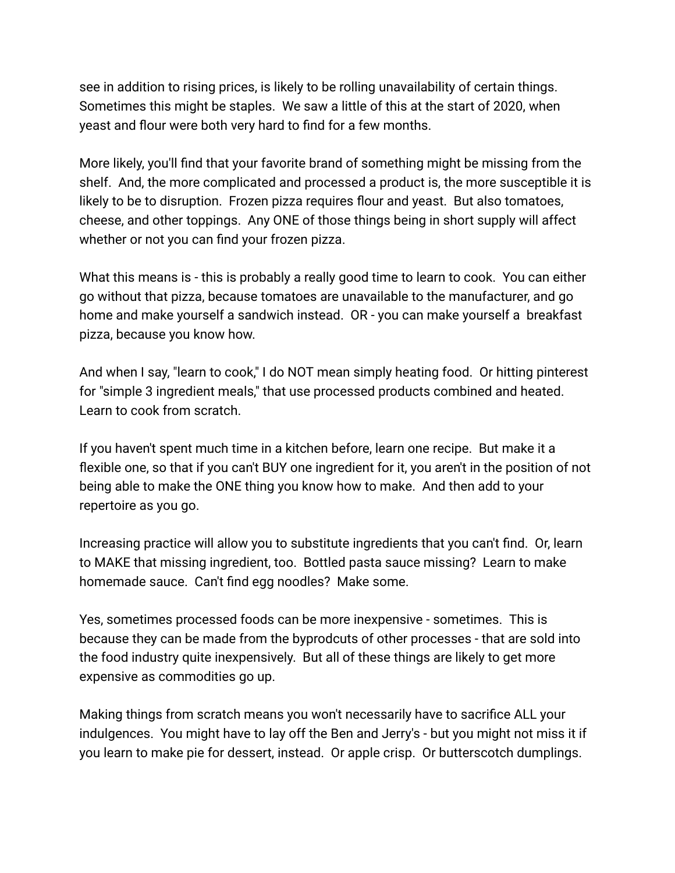see in addition to rising prices, is likely to be rolling unavailability of certain things. Sometimes this might be staples. We saw a little of this at the start of 2020, when yeast and flour were both very hard to find for a few months.

More likely, you'll find that your favorite brand of something might be missing from the shelf. And, the more complicated and processed a product is, the more susceptible it is likely to be to disruption. Frozen pizza requires flour and yeast. But also tomatoes, cheese, and other toppings. Any ONE of those things being in short supply will affect whether or not you can find your frozen pizza.

What this means is - this is probably a really good time to learn to cook. You can either go without that pizza, because tomatoes are unavailable to the manufacturer, and go home and make yourself a sandwich instead. OR - you can make yourself a breakfast pizza, because you know how.

And when I say, "learn to cook," I do NOT mean simply heating food. Or hitting pinterest for "simple 3 ingredient meals," that use processed products combined and heated. Learn to cook from scratch.

If you haven't spent much time in a kitchen before, learn one recipe. But make it a flexible one, so that if you can't BUY one ingredient for it, you aren't in the position of not being able to make the ONE thing you know how to make. And then add to your repertoire as you go.

Increasing practice will allow you to substitute ingredients that you can't find. Or, learn to MAKE that missing ingredient, too. Bottled pasta sauce missing? Learn to make homemade sauce. Can't find egg noodles? Make some.

Yes, sometimes processed foods can be more inexpensive - sometimes. This is because they can be made from the byprodcuts of other processes - that are sold into the food industry quite inexpensively. But all of these things are likely to get more expensive as commodities go up.

Making things from scratch means you won't necessarily have to sacrifice ALL your indulgences. You might have to lay off the Ben and Jerry's - but you might not miss it if you learn to make pie for dessert, instead. Or apple crisp. Or butterscotch dumplings.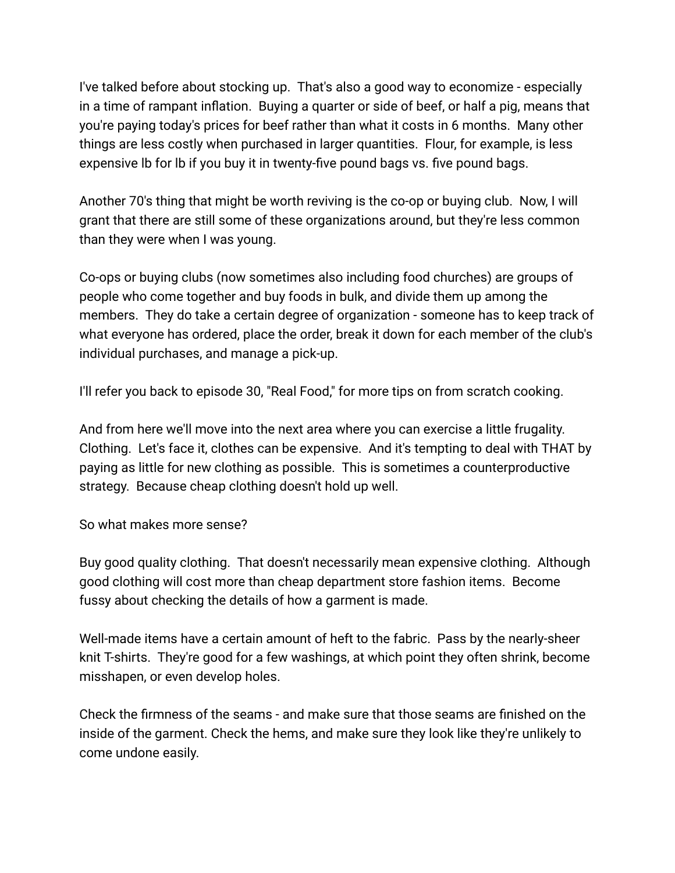I've talked before about stocking up. That's also a good way to economize - especially in a time of rampant inflation. Buying a quarter or side of beef, or half a pig, means that you're paying today's prices for beef rather than what it costs in 6 months. Many other things are less costly when purchased in larger quantities. Flour, for example, is less expensive lb for lb if you buy it in twenty-five pound bags vs. five pound bags.

Another 70's thing that might be worth reviving is the co-op or buying club. Now, I will grant that there are still some of these organizations around, but they're less common than they were when I was young.

Co-ops or buying clubs (now sometimes also including food churches) are groups of people who come together and buy foods in bulk, and divide them up among the members. They do take a certain degree of organization - someone has to keep track of what everyone has ordered, place the order, break it down for each member of the club's individual purchases, and manage a pick-up.

I'll refer you back to episode 30, "Real Food," for more tips on from scratch cooking.

And from here we'll move into the next area where you can exercise a little frugality. Clothing. Let's face it, clothes can be expensive. And it's tempting to deal with THAT by paying as little for new clothing as possible. This is sometimes a counterproductive strategy. Because cheap clothing doesn't hold up well.

So what makes more sense?

Buy good quality clothing. That doesn't necessarily mean expensive clothing. Although good clothing will cost more than cheap department store fashion items. Become fussy about checking the details of how a garment is made.

Well-made items have a certain amount of heft to the fabric. Pass by the nearly-sheer knit T-shirts. They're good for a few washings, at which point they often shrink, become misshapen, or even develop holes.

Check the firmness of the seams - and make sure that those seams are finished on the inside of the garment. Check the hems, and make sure they look like they're unlikely to come undone easily.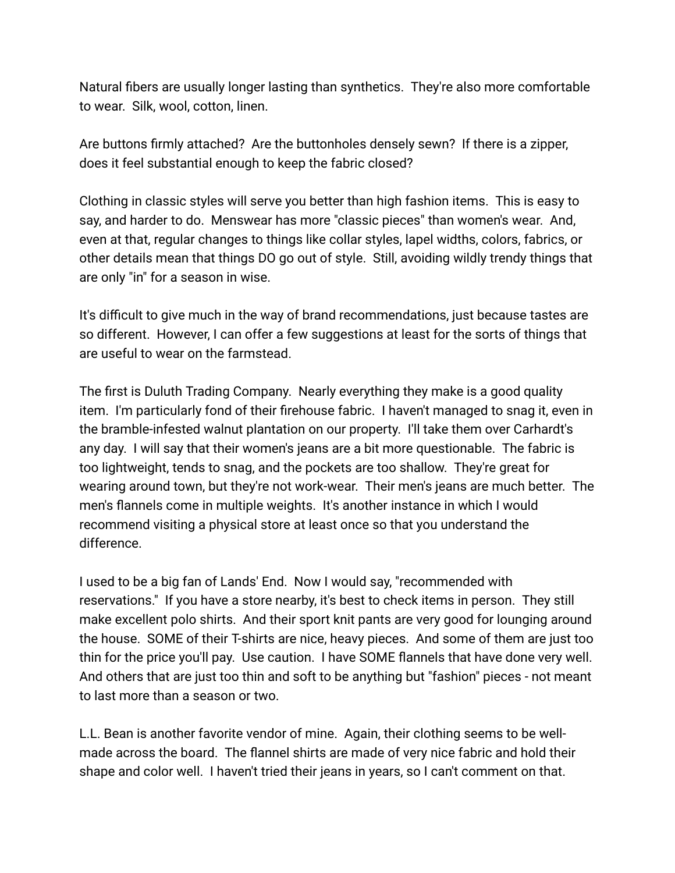Natural fibers are usually longer lasting than synthetics. They're also more comfortable to wear. Silk, wool, cotton, linen.

Are buttons firmly attached? Are the buttonholes densely sewn? If there is a zipper, does it feel substantial enough to keep the fabric closed?

Clothing in classic styles will serve you better than high fashion items. This is easy to say, and harder to do. Menswear has more "classic pieces" than women's wear. And, even at that, regular changes to things like collar styles, lapel widths, colors, fabrics, or other details mean that things DO go out of style. Still, avoiding wildly trendy things that are only "in" for a season in wise.

It's difficult to give much in the way of brand recommendations, just because tastes are so different. However, I can offer a few suggestions at least for the sorts of things that are useful to wear on the farmstead.

The first is Duluth Trading Company. Nearly everything they make is a good quality item. I'm particularly fond of their firehouse fabric. I haven't managed to snag it, even in the bramble-infested walnut plantation on our property. I'll take them over Carhardt's any day. I will say that their women's jeans are a bit more questionable. The fabric is too lightweight, tends to snag, and the pockets are too shallow. They're great for wearing around town, but they're not work-wear. Their men's jeans are much better. The men's flannels come in multiple weights. It's another instance in which I would recommend visiting a physical store at least once so that you understand the difference.

I used to be a big fan of Lands' End. Now I would say, "recommended with reservations." If you have a store nearby, it's best to check items in person. They still make excellent polo shirts. And their sport knit pants are very good for lounging around the house. SOME of their T-shirts are nice, heavy pieces. And some of them are just too thin for the price you'll pay. Use caution. I have SOME flannels that have done very well. And others that are just too thin and soft to be anything but "fashion" pieces - not meant to last more than a season or two.

L.L. Bean is another favorite vendor of mine. Again, their clothing seems to be wellmade across the board. The flannel shirts are made of very nice fabric and hold their shape and color well. I haven't tried their jeans in years, so I can't comment on that.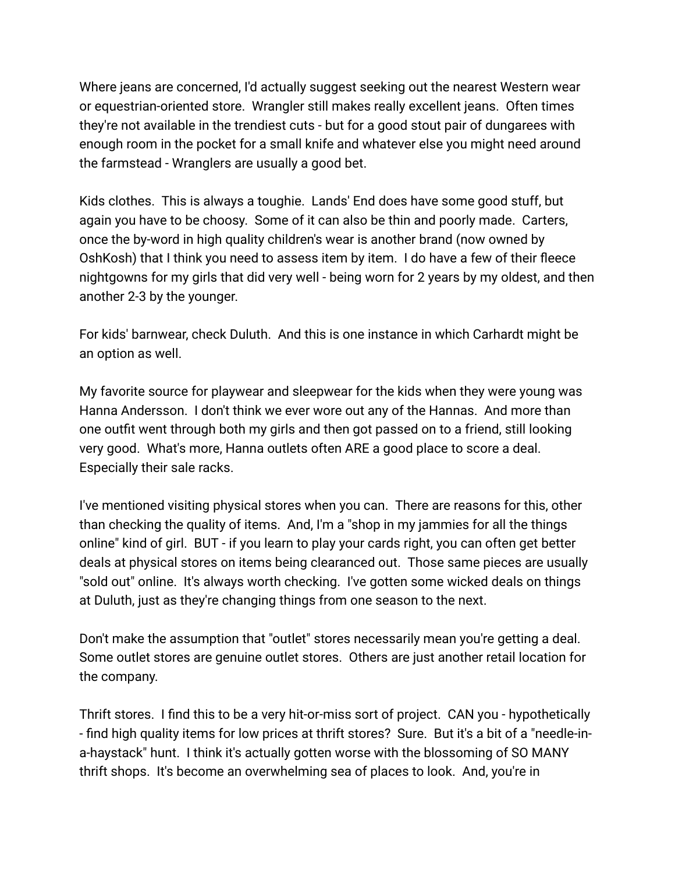Where jeans are concerned, I'd actually suggest seeking out the nearest Western wear or equestrian-oriented store. Wrangler still makes really excellent jeans. Often times they're not available in the trendiest cuts - but for a good stout pair of dungarees with enough room in the pocket for a small knife and whatever else you might need around the farmstead - Wranglers are usually a good bet.

Kids clothes. This is always a toughie. Lands' End does have some good stuff, but again you have to be choosy. Some of it can also be thin and poorly made. Carters, once the by-word in high quality children's wear is another brand (now owned by OshKosh) that I think you need to assess item by item. I do have a few of their fleece nightgowns for my girls that did very well - being worn for 2 years by my oldest, and then another 2-3 by the younger.

For kids' barnwear, check Duluth. And this is one instance in which Carhardt might be an option as well.

My favorite source for playwear and sleepwear for the kids when they were young was Hanna Andersson. I don't think we ever wore out any of the Hannas. And more than one outfit went through both my girls and then got passed on to a friend, still looking very good. What's more, Hanna outlets often ARE a good place to score a deal. Especially their sale racks.

I've mentioned visiting physical stores when you can. There are reasons for this, other than checking the quality of items. And, I'm a "shop in my jammies for all the things online" kind of girl. BUT - if you learn to play your cards right, you can often get better deals at physical stores on items being clearanced out. Those same pieces are usually "sold out" online. It's always worth checking. I've gotten some wicked deals on things at Duluth, just as they're changing things from one season to the next.

Don't make the assumption that "outlet" stores necessarily mean you're getting a deal. Some outlet stores are genuine outlet stores. Others are just another retail location for the company.

Thrift stores. I find this to be a very hit-or-miss sort of project. CAN you - hypothetically - find high quality items for low prices at thrift stores? Sure. But it's a bit of a "needle-ina-haystack" hunt. I think it's actually gotten worse with the blossoming of SO MANY thrift shops. It's become an overwhelming sea of places to look. And, you're in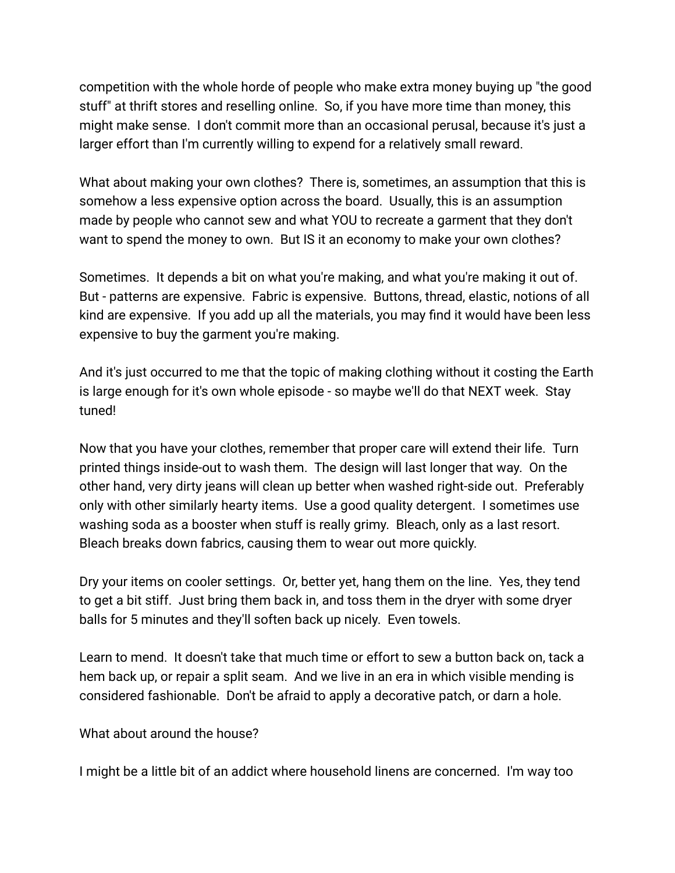competition with the whole horde of people who make extra money buying up "the good stuff" at thrift stores and reselling online. So, if you have more time than money, this might make sense. I don't commit more than an occasional perusal, because it's just a larger effort than I'm currently willing to expend for a relatively small reward.

What about making your own clothes? There is, sometimes, an assumption that this is somehow a less expensive option across the board. Usually, this is an assumption made by people who cannot sew and what YOU to recreate a garment that they don't want to spend the money to own. But IS it an economy to make your own clothes?

Sometimes. It depends a bit on what you're making, and what you're making it out of. But - patterns are expensive. Fabric is expensive. Buttons, thread, elastic, notions of all kind are expensive. If you add up all the materials, you may find it would have been less expensive to buy the garment you're making.

And it's just occurred to me that the topic of making clothing without it costing the Earth is large enough for it's own whole episode - so maybe we'll do that NEXT week. Stay tuned!

Now that you have your clothes, remember that proper care will extend their life. Turn printed things inside-out to wash them. The design will last longer that way. On the other hand, very dirty jeans will clean up better when washed right-side out. Preferably only with other similarly hearty items. Use a good quality detergent. I sometimes use washing soda as a booster when stuff is really grimy. Bleach, only as a last resort. Bleach breaks down fabrics, causing them to wear out more quickly.

Dry your items on cooler settings. Or, better yet, hang them on the line. Yes, they tend to get a bit stiff. Just bring them back in, and toss them in the dryer with some dryer balls for 5 minutes and they'll soften back up nicely. Even towels.

Learn to mend. It doesn't take that much time or effort to sew a button back on, tack a hem back up, or repair a split seam. And we live in an era in which visible mending is considered fashionable. Don't be afraid to apply a decorative patch, or darn a hole.

What about around the house?

I might be a little bit of an addict where household linens are concerned. I'm way too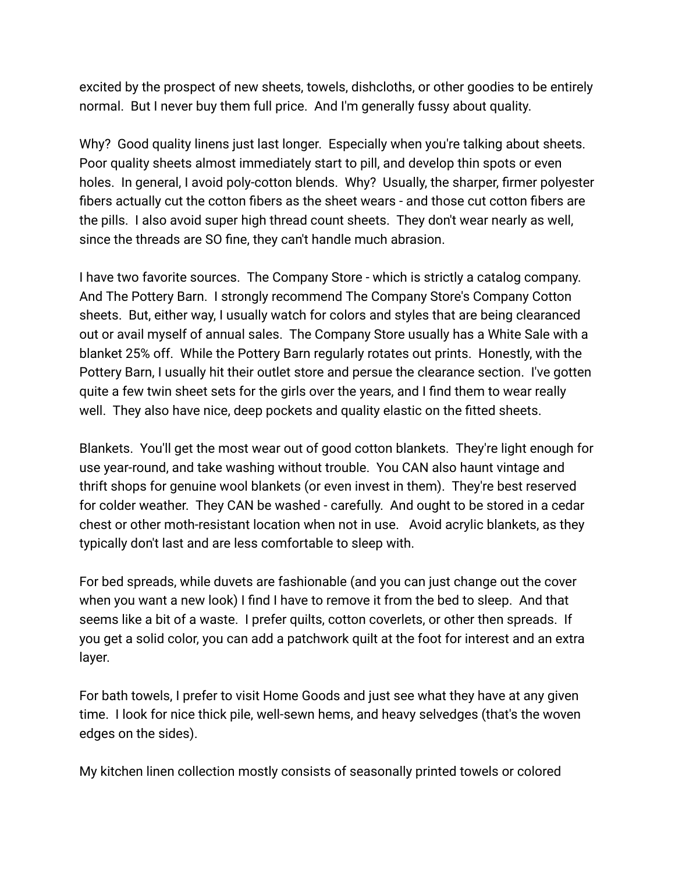excited by the prospect of new sheets, towels, dishcloths, or other goodies to be entirely normal. But I never buy them full price. And I'm generally fussy about quality.

Why? Good quality linens just last longer. Especially when you're talking about sheets. Poor quality sheets almost immediately start to pill, and develop thin spots or even holes. In general, I avoid poly-cotton blends. Why? Usually, the sharper, firmer polyester fibers actually cut the cotton fibers as the sheet wears - and those cut cotton fibers are the pills. I also avoid super high thread count sheets. They don't wear nearly as well, since the threads are SO fine, they can't handle much abrasion.

I have two favorite sources. The Company Store - which is strictly a catalog company. And The Pottery Barn. I strongly recommend The Company Store's Company Cotton sheets. But, either way, I usually watch for colors and styles that are being clearanced out or avail myself of annual sales. The Company Store usually has a White Sale with a blanket 25% off. While the Pottery Barn regularly rotates out prints. Honestly, with the Pottery Barn, I usually hit their outlet store and persue the clearance section. I've gotten quite a few twin sheet sets for the girls over the years, and I find them to wear really well. They also have nice, deep pockets and quality elastic on the fitted sheets.

Blankets. You'll get the most wear out of good cotton blankets. They're light enough for use year-round, and take washing without trouble. You CAN also haunt vintage and thrift shops for genuine wool blankets (or even invest in them). They're best reserved for colder weather. They CAN be washed - carefully. And ought to be stored in a cedar chest or other moth-resistant location when not in use. Avoid acrylic blankets, as they typically don't last and are less comfortable to sleep with.

For bed spreads, while duvets are fashionable (and you can just change out the cover when you want a new look) I find I have to remove it from the bed to sleep. And that seems like a bit of a waste. I prefer quilts, cotton coverlets, or other then spreads. If you get a solid color, you can add a patchwork quilt at the foot for interest and an extra layer.

For bath towels, I prefer to visit Home Goods and just see what they have at any given time. I look for nice thick pile, well-sewn hems, and heavy selvedges (that's the woven edges on the sides).

My kitchen linen collection mostly consists of seasonally printed towels or colored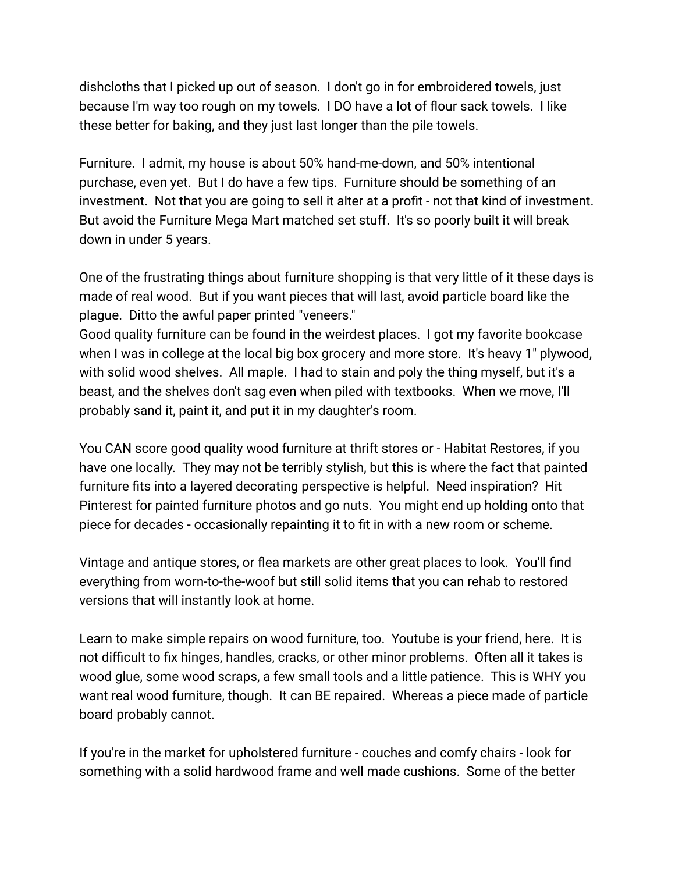dishcloths that I picked up out of season. I don't go in for embroidered towels, just because I'm way too rough on my towels. I DO have a lot of flour sack towels. I like these better for baking, and they just last longer than the pile towels.

Furniture. I admit, my house is about 50% hand-me-down, and 50% intentional purchase, even yet. But I do have a few tips. Furniture should be something of an investment. Not that you are going to sell it alter at a profit - not that kind of investment. But avoid the Furniture Mega Mart matched set stuff. It's so poorly built it will break down in under 5 years.

One of the frustrating things about furniture shopping is that very little of it these days is made of real wood. But if you want pieces that will last, avoid particle board like the plague. Ditto the awful paper printed "veneers."

Good quality furniture can be found in the weirdest places. I got my favorite bookcase when I was in college at the local big box grocery and more store. It's heavy 1" plywood, with solid wood shelves. All maple. I had to stain and poly the thing myself, but it's a beast, and the shelves don't sag even when piled with textbooks. When we move, I'll probably sand it, paint it, and put it in my daughter's room.

You CAN score good quality wood furniture at thrift stores or - Habitat Restores, if you have one locally. They may not be terribly stylish, but this is where the fact that painted furniture fits into a layered decorating perspective is helpful. Need inspiration? Hit Pinterest for painted furniture photos and go nuts. You might end up holding onto that piece for decades - occasionally repainting it to fit in with a new room or scheme.

Vintage and antique stores, or flea markets are other great places to look. You'll find everything from worn-to-the-woof but still solid items that you can rehab to restored versions that will instantly look at home.

Learn to make simple repairs on wood furniture, too. Youtube is your friend, here. It is not difficult to fix hinges, handles, cracks, or other minor problems. Often all it takes is wood glue, some wood scraps, a few small tools and a little patience. This is WHY you want real wood furniture, though. It can BE repaired. Whereas a piece made of particle board probably cannot.

If you're in the market for upholstered furniture - couches and comfy chairs - look for something with a solid hardwood frame and well made cushions. Some of the better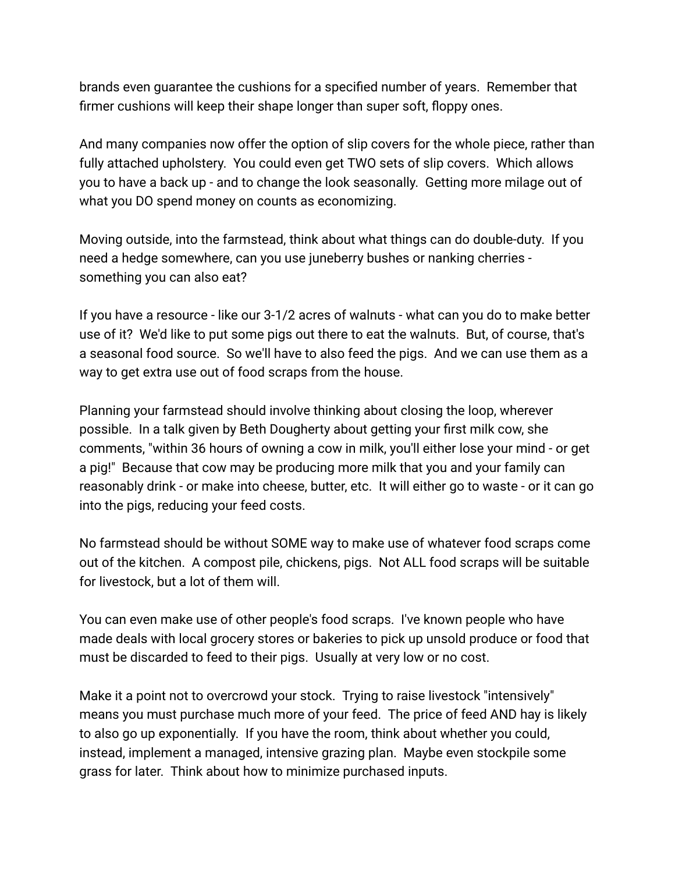brands even guarantee the cushions for a specified number of years. Remember that firmer cushions will keep their shape longer than super soft, floppy ones.

And many companies now offer the option of slip covers for the whole piece, rather than fully attached upholstery. You could even get TWO sets of slip covers. Which allows you to have a back up - and to change the look seasonally. Getting more milage out of what you DO spend money on counts as economizing.

Moving outside, into the farmstead, think about what things can do double-duty. If you need a hedge somewhere, can you use juneberry bushes or nanking cherries something you can also eat?

If you have a resource - like our 3-1/2 acres of walnuts - what can you do to make better use of it? We'd like to put some pigs out there to eat the walnuts. But, of course, that's a seasonal food source. So we'll have to also feed the pigs. And we can use them as a way to get extra use out of food scraps from the house.

Planning your farmstead should involve thinking about closing the loop, wherever possible. In a talk given by Beth Dougherty about getting your first milk cow, she comments, "within 36 hours of owning a cow in milk, you'll either lose your mind - or get a pig!" Because that cow may be producing more milk that you and your family can reasonably drink - or make into cheese, butter, etc. It will either go to waste - or it can go into the pigs, reducing your feed costs.

No farmstead should be without SOME way to make use of whatever food scraps come out of the kitchen. A compost pile, chickens, pigs. Not ALL food scraps will be suitable for livestock, but a lot of them will.

You can even make use of other people's food scraps. I've known people who have made deals with local grocery stores or bakeries to pick up unsold produce or food that must be discarded to feed to their pigs. Usually at very low or no cost.

Make it a point not to overcrowd your stock. Trying to raise livestock "intensively" means you must purchase much more of your feed. The price of feed AND hay is likely to also go up exponentially. If you have the room, think about whether you could, instead, implement a managed, intensive grazing plan. Maybe even stockpile some grass for later. Think about how to minimize purchased inputs.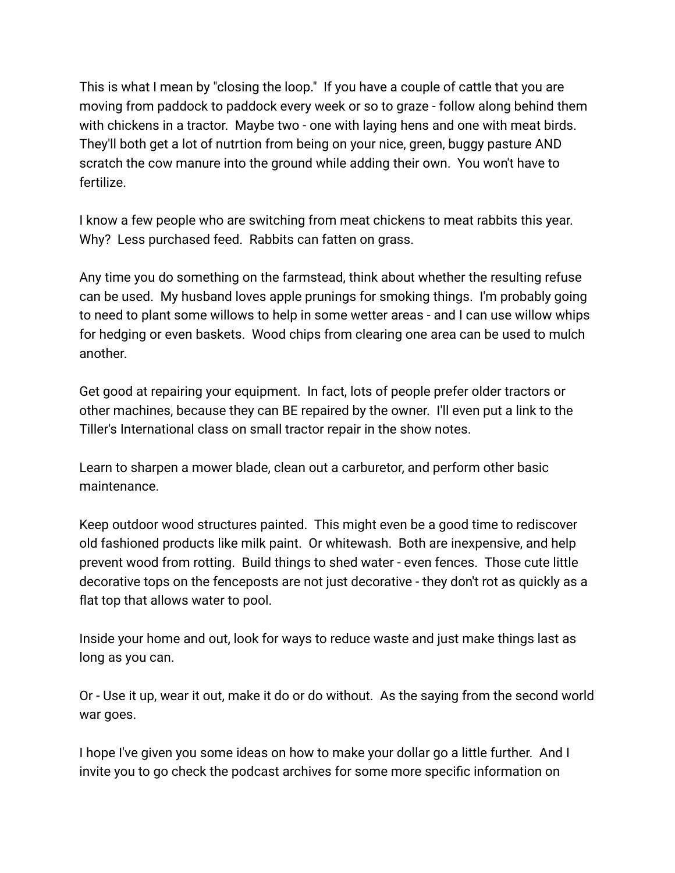This is what I mean by "closing the loop." If you have a couple of cattle that you are moving from paddock to paddock every week or so to graze - follow along behind them with chickens in a tractor. Maybe two - one with laying hens and one with meat birds. They'll both get a lot of nutrtion from being on your nice, green, buggy pasture AND scratch the cow manure into the ground while adding their own. You won't have to fertilize.

I know a few people who are switching from meat chickens to meat rabbits this year. Why? Less purchased feed. Rabbits can fatten on grass.

Any time you do something on the farmstead, think about whether the resulting refuse can be used. My husband loves apple prunings for smoking things. I'm probably going to need to plant some willows to help in some wetter areas - and I can use willow whips for hedging or even baskets. Wood chips from clearing one area can be used to mulch another.

Get good at repairing your equipment. In fact, lots of people prefer older tractors or other machines, because they can BE repaired by the owner. I'll even put a link to the Tiller's International class on small tractor repair in the show notes.

Learn to sharpen a mower blade, clean out a carburetor, and perform other basic maintenance.

Keep outdoor wood structures painted. This might even be a good time to rediscover old fashioned products like milk paint. Or whitewash. Both are inexpensive, and help prevent wood from rotting. Build things to shed water - even fences. Those cute little decorative tops on the fenceposts are not just decorative - they don't rot as quickly as a flat top that allows water to pool.

Inside your home and out, look for ways to reduce waste and just make things last as long as you can.

Or - Use it up, wear it out, make it do or do without. As the saying from the second world war goes.

I hope I've given you some ideas on how to make your dollar go a little further. And I invite you to go check the podcast archives for some more specific information on